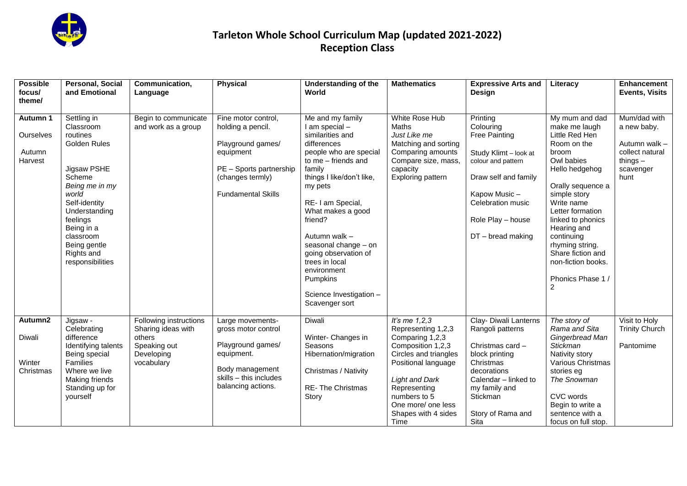

| <b>Possible</b><br>focus/<br>theme/        | Personal, Social<br>and Emotional                                                                                                                                                                                                   | Communication,<br>Language                                                                         | <b>Physical</b>                                                                                                                                        | <b>Understanding of the</b><br>World                                                                                                                                                                                                                                                                                                                                                     | <b>Mathematics</b>                                                                                                                                                                                                                          | <b>Expressive Arts and</b><br>Design                                                                                                                                                                  | Literacy                                                                                                                                                                                                                                                                                                                               | <b>Enhancement</b><br><b>Events, Visits</b>                                                        |
|--------------------------------------------|-------------------------------------------------------------------------------------------------------------------------------------------------------------------------------------------------------------------------------------|----------------------------------------------------------------------------------------------------|--------------------------------------------------------------------------------------------------------------------------------------------------------|------------------------------------------------------------------------------------------------------------------------------------------------------------------------------------------------------------------------------------------------------------------------------------------------------------------------------------------------------------------------------------------|---------------------------------------------------------------------------------------------------------------------------------------------------------------------------------------------------------------------------------------------|-------------------------------------------------------------------------------------------------------------------------------------------------------------------------------------------------------|----------------------------------------------------------------------------------------------------------------------------------------------------------------------------------------------------------------------------------------------------------------------------------------------------------------------------------------|----------------------------------------------------------------------------------------------------|
| Autumn 1<br>Ourselves<br>Autumn<br>Harvest | Settling in<br>Classroom<br>routines<br>Golden Rules<br>Jigsaw PSHE<br>Scheme<br>Being me in my<br>world<br>Self-identity<br>Understanding<br>feelings<br>Being in a<br>classroom<br>Being gentle<br>Rights and<br>responsibilities | Begin to communicate<br>and work as a group                                                        | Fine motor control,<br>holding a pencil.<br>Playground games/<br>equipment<br>PE - Sports partnership<br>(changes termly)<br><b>Fundamental Skills</b> | Me and my family<br>I am special -<br>similarities and<br>differences<br>people who are special<br>to me - friends and<br>family<br>things I like/don't like,<br>my pets<br>RE- I am Special,<br>What makes a good<br>friend?<br>Autumn walk -<br>seasonal change - on<br>going observation of<br>trees in local<br>environment<br>Pumpkins<br>Science Investigation -<br>Scavenger sort | White Rose Hub<br>Maths<br>Just Like me<br>Matching and sorting<br>Comparing amounts<br>Compare size, mass,<br>capacity<br>Exploring pattern                                                                                                | Printing<br>Colouring<br><b>Free Painting</b><br>Study Klimt - look at<br>colour and pattern<br>Draw self and family<br>Kapow Music-<br>Celebration music<br>Role Play - house<br>$DT - bread$ making | My mum and dad<br>make me laugh<br>Little Red Hen<br>Room on the<br>broom<br>Owl babies<br>Hello hedgehog<br>Orally sequence a<br>simple story<br>Write name<br>Letter formation<br>linked to phonics<br>Hearing and<br>continuing<br>rhyming string.<br>Share fiction and<br>non-fiction books.<br>Phonics Phase 1/<br>$\overline{2}$ | Mum/dad with<br>a new baby.<br>Autumn walk -<br>collect natural<br>things $-$<br>scavenger<br>hunt |
| Autumn2<br>Diwali<br>Winter<br>Christmas   | Jigsaw -<br>Celebrating<br>difference<br>Identifying talents<br>Being special<br>Families<br>Where we live<br>Making friends<br>Standing up for<br>yourself                                                                         | Following instructions<br>Sharing ideas with<br>others<br>Speaking out<br>Developing<br>vocabulary | Large movements-<br>gross motor control<br>Playground games/<br>equipment.<br>Body management<br>skills - this includes<br>balancing actions.          | Diwali<br>Winter- Changes in<br>Seasons<br>Hibernation/migration<br>Christmas / Nativity<br>RE-The Christmas<br>Story                                                                                                                                                                                                                                                                    | It's me $1,2,3$<br>Representing 1,2,3<br>Comparing 1,2,3<br>Composition 1,2,3<br>Circles and triangles<br>Positional language<br><b>Light and Dark</b><br>Representing<br>numbers to 5<br>One more/ one less<br>Shapes with 4 sides<br>Time | Clay- Diwali Lanterns<br>Rangoli patterns<br>Christmas card -<br>block printing<br>Christmas<br>decorations<br>Calendar - linked to<br>my family and<br>Stickman<br>Story of Rama and<br>Sita         | The story of<br>Rama and Sita<br>Gingerbread Man<br><b>Stickman</b><br>Nativity story<br>Various Christmas<br>stories eg<br>The Snowman<br>CVC words<br>Begin to write a<br>sentence with a<br>focus on full stop.                                                                                                                     | Visit to Holy<br><b>Trinity Church</b><br>Pantomime                                                |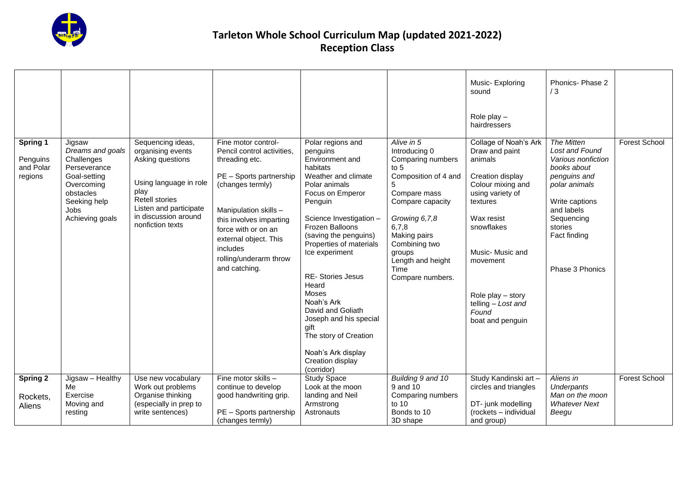

| Spring 1<br>Penguins<br>and Polar<br>regions | Jigsaw<br>Dreams and goals<br>Challenges<br>Perseverance<br>Goal-setting<br>Overcoming<br>obstacles<br>Seeking help<br><b>Jobs</b><br>Achieving goals | Sequencing ideas,<br>organising events<br>Asking questions<br>Using language in role<br>play<br><b>Retell stories</b><br>Listen and participate<br>in discussion around<br>nonfiction texts | Fine motor control-<br>Pencil control activities,<br>threading etc.<br>PE - Sports partnership<br>(changes termly)<br>Manipulation skills -<br>this involves imparting<br>force with or on an<br>external object. This<br><i>includes</i><br>rolling/underarm throw<br>and catching. | Polar regions and<br>penguins<br>Environment and<br>habitats<br>Weather and climate<br>Polar animals<br>Focus on Emperor<br>Penguin<br>Science Investigation -<br>Frozen Balloons<br>(saving the penguins)<br>Properties of materials<br>Ice experiment<br><b>RE-</b> Stories Jesus<br>Heard<br>Moses<br>Noah's Ark<br>David and Goliath<br>Joseph and his special<br>gift<br>The story of Creation<br>Noah's Ark display<br>Creation display<br>(corridor) | Alive in 5<br>Introducing 0<br>Comparing numbers<br>to $51$<br>Composition of 4 and<br>5<br>Compare mass<br>Compare capacity<br>Growing 6,7,8<br>6,7,8<br>Making pairs<br>Combining two<br>groups<br>Length and height<br>Time<br>Compare numbers. | Music-Exploring<br>sound<br>Role play $-$<br>hairdressers<br>Collage of Noah's Ark<br>Draw and paint<br>animals<br>Creation display<br>Colour mixing and<br>using variety of<br>textures<br>Wax resist<br>snowflakes<br>Music- Music and<br>movement<br>Role play $-$ story<br>telling - Lost and<br>Found<br>boat and penguin | Phonics- Phase 2<br>/3<br><b>The Mitten</b><br>Lost and Found<br>Various nonfiction<br>books about<br>penguins and<br>polar animals<br>Write captions<br>and labels<br>Sequencing<br>stories<br>Fact finding<br>Phase 3 Phonics | Forest School        |
|----------------------------------------------|-------------------------------------------------------------------------------------------------------------------------------------------------------|---------------------------------------------------------------------------------------------------------------------------------------------------------------------------------------------|--------------------------------------------------------------------------------------------------------------------------------------------------------------------------------------------------------------------------------------------------------------------------------------|-------------------------------------------------------------------------------------------------------------------------------------------------------------------------------------------------------------------------------------------------------------------------------------------------------------------------------------------------------------------------------------------------------------------------------------------------------------|----------------------------------------------------------------------------------------------------------------------------------------------------------------------------------------------------------------------------------------------------|--------------------------------------------------------------------------------------------------------------------------------------------------------------------------------------------------------------------------------------------------------------------------------------------------------------------------------|---------------------------------------------------------------------------------------------------------------------------------------------------------------------------------------------------------------------------------|----------------------|
| <b>Spring 2</b>                              | Jigsaw - Healthy                                                                                                                                      | Use new vocabulary                                                                                                                                                                          | Fine motor skills -                                                                                                                                                                                                                                                                  | <b>Study Space</b>                                                                                                                                                                                                                                                                                                                                                                                                                                          | Building 9 and 10                                                                                                                                                                                                                                  | Study Kandinski art-                                                                                                                                                                                                                                                                                                           | Aliens in                                                                                                                                                                                                                       | <b>Forest School</b> |
| Rockets,                                     | Me<br>Exercise                                                                                                                                        | Work out problems<br>Organise thinking                                                                                                                                                      | continue to develop<br>good handwriting grip.                                                                                                                                                                                                                                        | Look at the moon<br>landing and Neil                                                                                                                                                                                                                                                                                                                                                                                                                        | 9 and 10<br>Comparing numbers                                                                                                                                                                                                                      | circles and triangles                                                                                                                                                                                                                                                                                                          | Underpants<br>Man on the moon                                                                                                                                                                                                   |                      |
| Aliens                                       | Moving and                                                                                                                                            | (especially in prep to                                                                                                                                                                      |                                                                                                                                                                                                                                                                                      | Armstrong                                                                                                                                                                                                                                                                                                                                                                                                                                                   | to 10                                                                                                                                                                                                                                              | DT- junk modelling                                                                                                                                                                                                                                                                                                             | <b>Whatever Next</b>                                                                                                                                                                                                            |                      |
|                                              | resting                                                                                                                                               | write sentences)                                                                                                                                                                            | PE - Sports partnership<br>(changes termly)                                                                                                                                                                                                                                          | Astronauts                                                                                                                                                                                                                                                                                                                                                                                                                                                  | Bonds to 10<br>3D shape                                                                                                                                                                                                                            | (rockets - individual<br>and group)                                                                                                                                                                                                                                                                                            | Beegu                                                                                                                                                                                                                           |                      |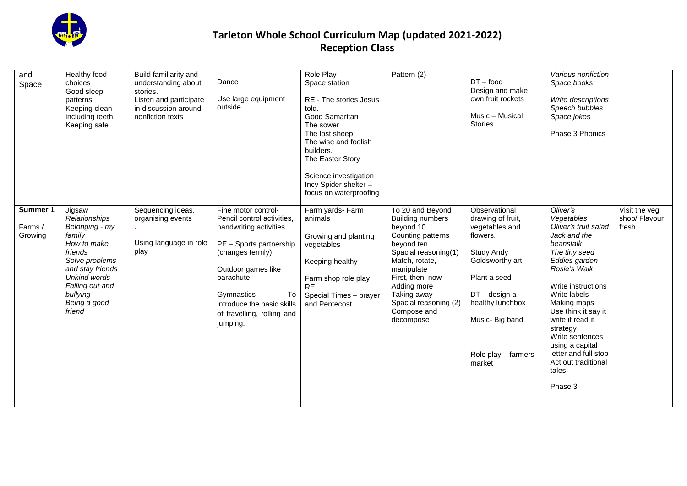

| and<br>Space                   | Healthy food<br>choices<br>Good sleep<br>patterns<br>Keeping clean -<br>including teeth<br>Keeping safe                                                                                             | Build familiarity and<br>understanding about<br>stories.<br>Listen and participate<br>in discussion around<br>nonfiction texts | Dance<br>Use large equipment<br>outside                                                                                                                                                                                                                   | Role Play<br>Space station<br>RE - The stories Jesus<br>told.<br>Good Samaritan<br>The sower<br>The lost sheep<br>The wise and foolish<br>builders.<br>The Easter Story<br>Science investigation<br>Incy Spider shelter -<br>focus on waterproofing | Pattern (2)                                                                                                                                                                                                                                                | $DT - food$<br>Design and make<br>own fruit rockets<br>Music - Musical<br><b>Stories</b>                                                                                                                            | Various nonfiction<br>Space books<br>Write descriptions<br>Speech bubbles<br>Space jokes<br>Phase 3 Phonics                                                                                                                                                                                                                                        |                                         |
|--------------------------------|-----------------------------------------------------------------------------------------------------------------------------------------------------------------------------------------------------|--------------------------------------------------------------------------------------------------------------------------------|-----------------------------------------------------------------------------------------------------------------------------------------------------------------------------------------------------------------------------------------------------------|-----------------------------------------------------------------------------------------------------------------------------------------------------------------------------------------------------------------------------------------------------|------------------------------------------------------------------------------------------------------------------------------------------------------------------------------------------------------------------------------------------------------------|---------------------------------------------------------------------------------------------------------------------------------------------------------------------------------------------------------------------|----------------------------------------------------------------------------------------------------------------------------------------------------------------------------------------------------------------------------------------------------------------------------------------------------------------------------------------------------|-----------------------------------------|
| Summer 1<br>Farms /<br>Growing | Jigsaw<br>Relationships<br>Belonging - my<br>family<br>How to make<br>friends<br>Solve problems<br>and stay friends<br><b>Unkind words</b><br>Falling out and<br>bullying<br>Being a good<br>friend | Sequencing ideas,<br>organising events<br>Using language in role<br>play                                                       | Fine motor control-<br>Pencil control activities,<br>handwriting activities<br>PE - Sports partnership<br>(changes termly)<br>Outdoor games like<br>parachute<br>Gymnastics<br>To<br>introduce the basic skills<br>of travelling, rolling and<br>jumping. | Farm yards- Farm<br>animals<br>Growing and planting<br>vegetables<br>Keeping healthy<br>Farm shop role play<br><b>RE</b><br>Special Times - prayer<br>and Pentecost                                                                                 | To 20 and Beyond<br><b>Building numbers</b><br>beyond 10<br>Counting patterns<br>beyond ten<br>Spacial reasoning(1)<br>Match, rotate,<br>manipulate<br>First, then, now<br>Adding more<br>Taking away<br>Spacial reasoning (2)<br>Compose and<br>decompose | Observational<br>drawing of fruit,<br>vegetables and<br>flowers.<br><b>Study Andy</b><br>Goldsworthy art<br>Plant a seed<br>$DT$ – design a<br>healthy lunchbox<br>Music- Big band<br>Role play - farmers<br>market | Oliver's<br>Vegetables<br>Oliver's fruit salad<br>Jack and the<br>beanstalk<br>The tiny seed<br>Eddies garden<br>Rosie's Walk<br>Write instructions<br>Write labels<br>Making maps<br>Use think it say it<br>write it read it<br>strategy<br>Write sentences<br>using a capital<br>letter and full stop<br>Act out traditional<br>tales<br>Phase 3 | Visit the veg<br>shop/ Flavour<br>fresh |